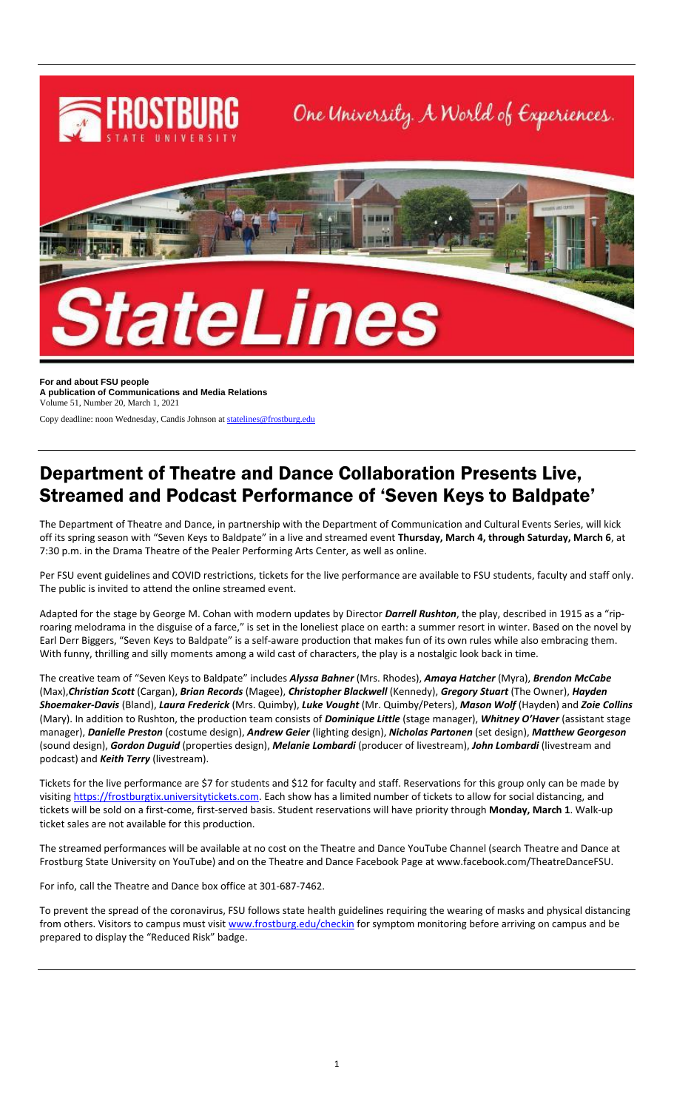

**For and about FSU people A publication of Communications and Media Relations** Volume 51, Number 20, March 1, 2021

Copy deadline: noon Wednesday, Candis Johnson a[t statelines@frostburg.edu](mailto:statelines@frostburg.edu)

## Department of Theatre and Dance Collaboration Presents Live, Streamed and Podcast Performance of 'Seven Keys to Baldpate'

The Department of Theatre and Dance, in partnership with the Department of Communication and Cultural Events Series, will kick off its spring season with "Seven Keys to Baldpate" in a live and streamed event **Thursday, March 4, through Saturday, March 6**, at 7:30 p.m. in the Drama Theatre of the Pealer Performing Arts Center, as well as online.

Per FSU event guidelines and COVID restrictions, tickets for the live performance are available to FSU students, faculty and staff only. The public is invited to attend the online streamed event.

Adapted for the stage by George M. Cohan with modern updates by Director *Darrell Rushton*, the play, described in 1915 as a "riproaring melodrama in the disguise of a farce," is set in the loneliest place on earth: a summer resort in winter. Based on the novel by Earl Derr Biggers, "Seven Keys to Baldpate" is a self-aware production that makes fun of its own rules while also embracing them. With funny, thrilling and silly moments among a wild cast of characters, the play is a nostalgic look back in time.

The creative team of "Seven Keys to Baldpate" includes *Alyssa Bahner* (Mrs. Rhodes), *Amaya Hatcher* (Myra), *Brendon McCabe* (Max),*Christian Scott* (Cargan), *Brian Records* (Magee), *Christopher Blackwell* (Kennedy), *Gregory Stuart* (The Owner), *Hayden Shoemaker-Davis* (Bland), *Laura Frederick* (Mrs. Quimby), *Luke Vought* (Mr. Quimby/Peters), *Mason Wolf* (Hayden) and *Zoie Collins* (Mary). In addition to Rushton, the production team consists of *Dominique Little* (stage manager), *Whitney O'Haver* (assistant stage manager), *Danielle Preston* (costume design), *Andrew Geier* (lighting design), *Nicholas Partonen* (set design), *Matthew Georgeson* (sound design), *Gordon Duguid* (properties design), *Melanie Lombardi* (producer of livestream), *John Lombardi* (livestream and podcast) and *Keith Terry* (livestream).

Tickets for the live performance are \$7 for students and \$12 for faculty and staff. Reservations for this group only can be made by visiting [https://frostburgtix.universitytickets.com.](https://frostburgtix.universitytickets.com/) Each show has a limited number of tickets to allow for social distancing, and tickets will be sold on a first-come, first-served basis. Student reservations will have priority through **Monday, March 1**. Walk-up ticket sales are not available for this production.

The streamed performances will be available at no cost on the Theatre and Dance YouTube Channel (search Theatre and Dance at Frostburg State University on YouTube) and on the Theatre and Dance Facebook Page at www.facebook.com/TheatreDanceFSU.

For info, call the Theatre and Dance box office at 301-687-7462.

To prevent the spread of the coronavirus, FSU follows state health guidelines requiring the wearing of masks and physical distancing from others. Visitors to campus must visi[t www.frostburg.edu/checkin](http://www.frostburg.edu/checkin) for symptom monitoring before arriving on campus and be prepared to display the "Reduced Risk" badge.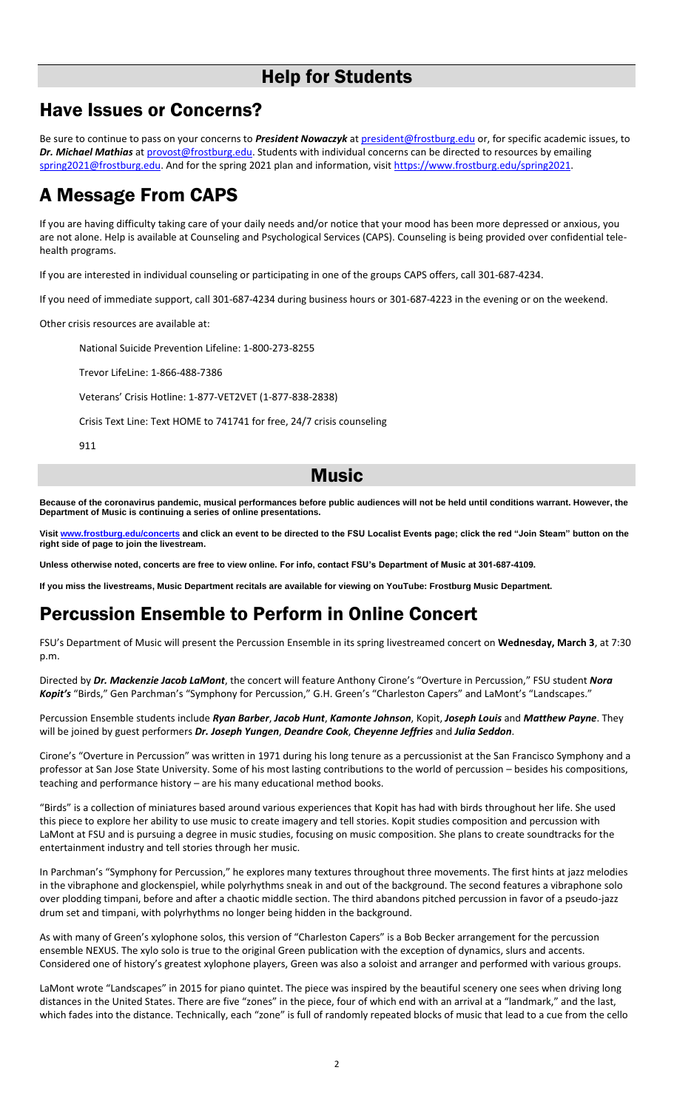### Help for Students

### Have Issues or Concerns?

Be sure to continue to pass on your concerns to *President Nowaczyk* at [president@frostburg.edu](mailto:president@frostburg.edu) or, for specific academic issues, to *Dr. Michael Mathias* a[t provost@frostburg.edu.](mailto:provost@frostburg.edu) Students with individual concerns can be directed to resources by emailing [spring2021@frostburg.edu.](mailto:spring2021@frostburg.edu) And for the spring 2021 plan and information, visit https://www.frostburg.edu/spring2021.

## A Message From CAPS

If you are having difficulty taking care of your daily needs and/or notice that your mood has been more depressed or anxious, you are not alone. Help is available at Counseling and Psychological Services (CAPS). Counseling is being provided over confidential telehealth programs.

If you are interested in individual counseling or participating in one of the groups CAPS offers, call 301-687-4234.

If you need of immediate support, call 301-687-4234 during business hours or 301-687-4223 in the evening or on the weekend.

Other crisis resources are available at:

National Suicide Prevention Lifeline: 1-800-273-8255

Trevor LifeLine: 1-866-488-7386

Veterans' Crisis Hotline: 1-877-VET2VET (1-877-838-2838)

Crisis Text Line: Text HOME to 741741 for free, 24/7 crisis counseling

911

### Music

**Because of the coronavirus pandemic, musical performances before public audiences will not be held until conditions warrant. However, the Department of Music is continuing a series of online presentations.**

**Visit [www.frostburg.edu/concerts](http://www.frostburg.edu/concerts) and click an event to be directed to the FSU Localist Events page; click the red "Join Steam" button on the right side of page to join the livestream.**

**Unless otherwise noted, concerts are free to view online. For info, contact FSU's Department of Music at 301-687-4109.**

**If you miss the livestreams, Music Department recitals are available for viewing on YouTube: Frostburg Music Department.**

## Percussion Ensemble to Perform in Online Concert

FSU's Department of Music will present the Percussion Ensemble in its spring livestreamed concert on **Wednesday, March 3**, at 7:30 p.m.

Directed by *Dr. Mackenzie Jacob LaMont*, the concert will feature Anthony Cirone's "Overture in Percussion," FSU student *Nora Kopit's* "Birds," Gen Parchman's "Symphony for Percussion," G.H. Green's "Charleston Capers" and LaMont's "Landscapes."

Percussion Ensemble students include *Ryan Barber*, *Jacob Hunt*, *Kamonte Johnson*, Kopit, *Joseph Louis* and *Matthew Payne*. They will be joined by guest performers *Dr. Joseph Yungen*, *Deandre Cook*, *Cheyenne Jeffries* and *Julia Seddon*.

Cirone's "Overture in Percussion" was written in 1971 during his long tenure as a percussionist at the San Francisco Symphony and a professor at San Jose State University. Some of his most lasting contributions to the world of percussion – besides his compositions, teaching and performance history – are his many educational method books.

"Birds" is a collection of miniatures based around various experiences that Kopit has had with birds throughout her life. She used this piece to explore her ability to use music to create imagery and tell stories. Kopit studies composition and percussion with LaMont at FSU and is pursuing a degree in music studies, focusing on music composition. She plans to create soundtracks for the entertainment industry and tell stories through her music.

In Parchman's "Symphony for Percussion," he explores many textures throughout three movements. The first hints at jazz melodies in the vibraphone and glockenspiel, while polyrhythms sneak in and out of the background. The second features a vibraphone solo over plodding timpani, before and after a chaotic middle section. The third abandons pitched percussion in favor of a pseudo-jazz drum set and timpani, with polyrhythms no longer being hidden in the background.

As with many of Green's xylophone solos, this version of "Charleston Capers" is a Bob Becker arrangement for the percussion ensemble NEXUS. The xylo solo is true to the original Green publication with the exception of dynamics, slurs and accents. Considered one of history's greatest xylophone players, Green was also a soloist and arranger and performed with various groups.

LaMont wrote "Landscapes" in 2015 for piano quintet. The piece was inspired by the beautiful scenery one sees when driving long distances in the United States. There are five "zones" in the piece, four of which end with an arrival at a "landmark," and the last, which fades into the distance. Technically, each "zone" is full of randomly repeated blocks of music that lead to a cue from the cello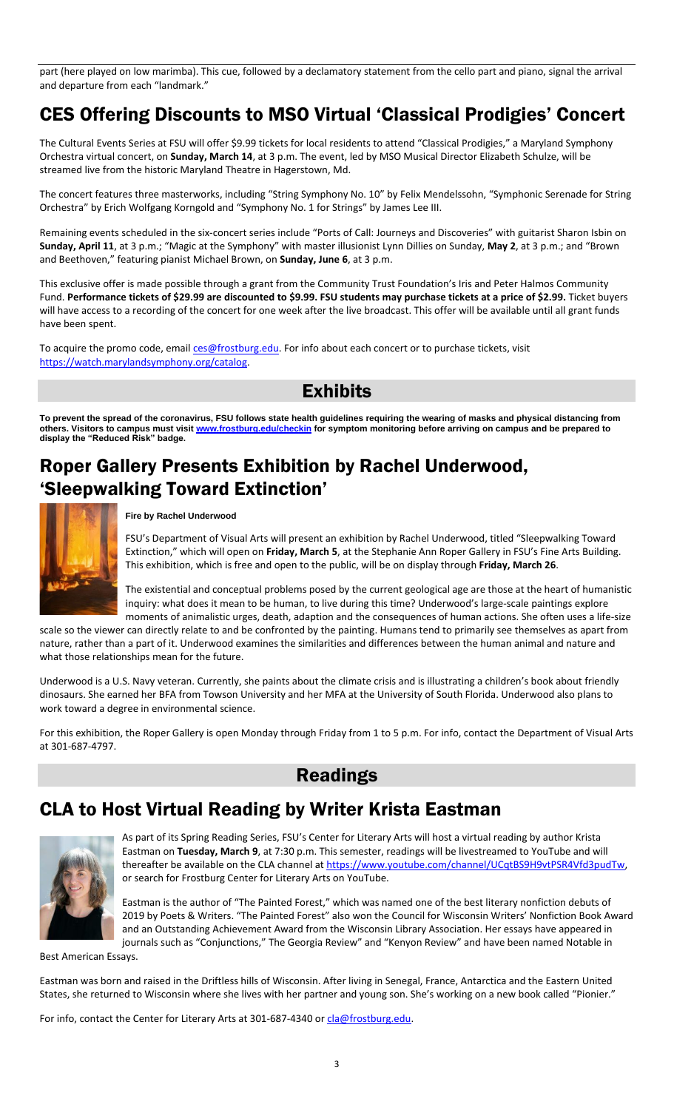part (here played on low marimba). This cue, followed by a declamatory statement from the cello part and piano, signal the arrival and departure from each "landmark."

## CES Offering Discounts to MSO Virtual 'Classical Prodigies' Concert

The Cultural Events Series at FSU will offer \$9.99 tickets for local residents to attend "Classical Prodigies," a Maryland Symphony Orchestra virtual concert, on **Sunday, March 14**, at 3 p.m. The event, led by MSO Musical Director Elizabeth Schulze, will be streamed live from the historic Maryland Theatre in Hagerstown, Md.

The concert features three masterworks, including "String Symphony No. 10" by Felix Mendelssohn, "Symphonic Serenade for String Orchestra" by Erich Wolfgang Korngold and "Symphony No. 1 for Strings" by James Lee III.

Remaining events scheduled in the six-concert series include "Ports of Call: Journeys and Discoveries" with guitarist Sharon Isbin on **Sunday, April 11**, at 3 p.m.; "Magic at the Symphony" with master illusionist Lynn Dillies on Sunday, **May 2**, at 3 p.m.; and "Brown and Beethoven," featuring pianist Michael Brown, on **Sunday, June 6**, at 3 p.m.

This exclusive offer is made possible through a grant from the Community Trust Foundation's Iris and Peter Halmos Community Fund. **Performance tickets of \$29.99 are discounted to \$9.99. FSU students may purchase tickets at a price of \$2.99.** Ticket buyers will have access to a recording of the concert for one week after the live broadcast. This offer will be available until all grant funds have been spent.

To acquire the promo code, emai[l ces@frostburg.edu.](https://ces.frostburg.edu/) For info about each concert or to purchase tickets, visit [https://watch.marylandsymphony.org/catalog.](https://watch.marylandsymphony.org/catalog)

Exhibits

**To prevent the spread of the coronavirus, FSU follows state health guidelines requiring the wearing of masks and physical distancing from others. Visitors to campus must visit [www.frostburg.edu/checkin](http://www.frostburg.edu/checkin) for symptom monitoring before arriving on campus and be prepared to display the "Reduced Risk" badge.**

## Roper Gallery Presents Exhibition by Rachel Underwood, 'Sleepwalking Toward Extinction'



**Fire by Rachel Underwood**

FSU's Department of Visual Arts will present an exhibition by Rachel Underwood, titled "Sleepwalking Toward Extinction," which will open on **Friday, March 5**, at the Stephanie Ann Roper Gallery in FSU's Fine Arts Building. This exhibition, which is free and open to the public, will be on display through **Friday, March 26**.

The existential and conceptual problems posed by the current geological age are those at the heart of humanistic inquiry: what does it mean to be human, to live during this time? Underwood's large-scale paintings explore moments of animalistic urges, death, adaption and the consequences of human actions. She often uses a life-size

scale so the viewer can directly relate to and be confronted by the painting. Humans tend to primarily see themselves as apart from nature, rather than a part of it. Underwood examines the similarities and differences between the human animal and nature and what those relationships mean for the future.

Underwood is a U.S. Navy veteran. Currently, she paints about the climate crisis and is illustrating a children's book about friendly dinosaurs. She earned her BFA from Towson University and her MFA at the University of South Florida. Underwood also plans to work toward a degree in environmental science.

For this exhibition, the Roper Gallery is open Monday through Friday from 1 to 5 p.m. For info, contact the Department of Visual Arts at 301-687-4797.



## CLA to Host Virtual Reading by Writer Krista Eastman



As part of its Spring Reading Series, FSU's Center for Literary Arts will host a virtual reading by author Krista Eastman on **Tuesday, March 9**, at 7:30 p.m. This semester, readings will be livestreamed to YouTube and will thereafter be available on the CLA channel a[t https://www.youtube.com/channel/UCqtBS9H9vtPSR4Vfd3pudTw,](https://www.youtube.com/channel/UCqtBS9H9vtPSR4Vfd3pudTw) or search for Frostburg Center for Literary Arts on YouTube.

Eastman is the author of "The Painted Forest," which was named one of the best literary nonfiction debuts of 2019 by Poets & Writers. "The Painted Forest" also won the Council for Wisconsin Writers' Nonfiction Book Award and an Outstanding Achievement Award from the Wisconsin Library Association. Her essays have appeared in journals such as "Conjunctions," The Georgia Review" and "Kenyon Review" and have been named Notable in

Best American Essays.

Eastman was born and raised in the Driftless hills of Wisconsin. After living in Senegal, France, Antarctica and the Eastern United States, she returned to Wisconsin where she lives with her partner and young son. She's working on a new book called "Pionier."

For info, contact the Center for Literary Arts at 301-687-4340 o[r cla@frostburg.edu.](mailto:cla@frostburg.edu)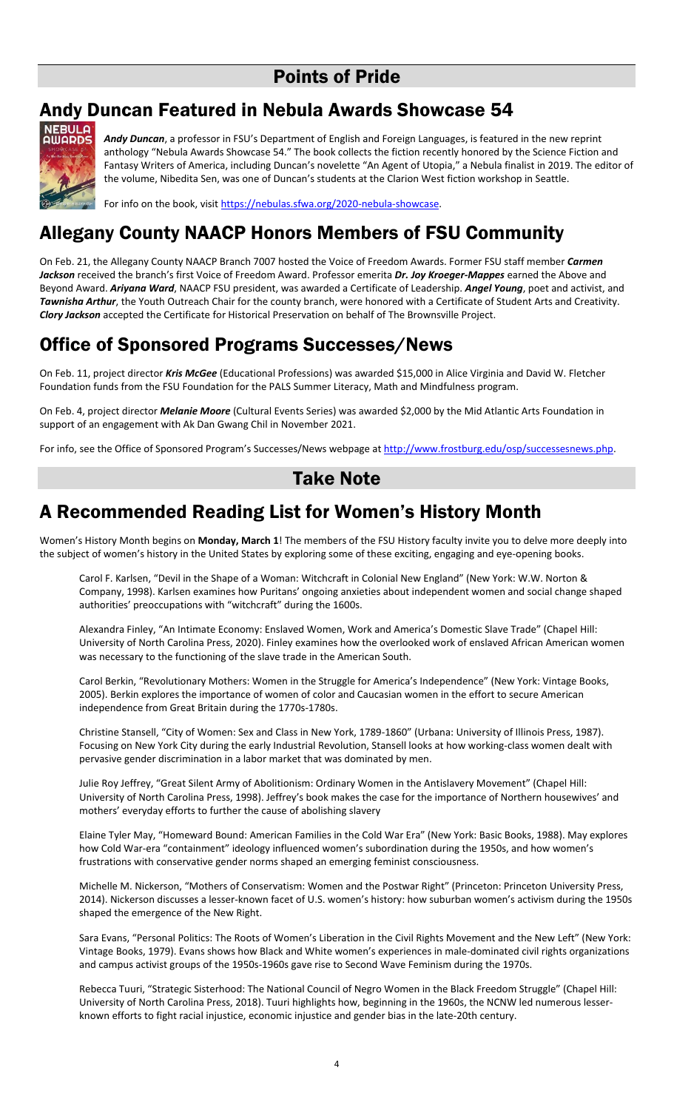## Points of Pride

## Andy Duncan Featured in Nebula Awards Showcase 54



*Andy Duncan*, a professor in FSU's Department of English and Foreign Languages, is featured in the new reprint anthology "Nebula Awards Showcase 54." The book collects the fiction recently honored by the Science Fiction and Fantasy Writers of America, including Duncan's novelette "An Agent of Utopia," a Nebula finalist in 2019. The editor of the volume, Nibedita Sen, was one of Duncan's students at the Clarion West fiction workshop in Seattle.

For info on the book, visi[t https://nebulas.sfwa.org/2020-nebula-showcase.](https://nebulas.sfwa.org/2020-nebula-showcase)

# Allegany County NAACP Honors Members of FSU Community

On Feb. 21, the Allegany County NAACP Branch 7007 hosted the Voice of Freedom Awards. Former FSU staff member *Carmen Jackson* received the branch's first Voice of Freedom Award. Professor emerita *Dr. Joy Kroeger-Mappes* earned the Above and Beyond Award. *Ariyana Ward*, NAACP FSU president, was awarded a Certificate of Leadership. *Angel Young*, poet and activist, and *Tawnisha Arthur*, the Youth Outreach Chair for the county branch, were honored with a Certificate of Student Arts and Creativity. *Clory Jackson* accepted the Certificate for Historical Preservation on behalf of The Brownsville Project.

## Office of Sponsored Programs Successes/News

On Feb. 11, project director *Kris McGee* (Educational Professions) was awarded \$15,000 in Alice Virginia and David W. Fletcher Foundation funds from the FSU Foundation for the PALS Summer Literacy, Math and Mindfulness program.

On Feb. 4, project director *Melanie Moore* (Cultural Events Series) was awarded \$2,000 by the Mid Atlantic Arts Foundation in support of an engagement with Ak Dan Gwang Chil in November 2021.

For info, see the Office of Sponsored Program's Successes/News webpage a[t http://www.frostburg.edu/osp/successesnews.php.](http://www.frostburg.edu/osp/successesnews.php)

### Take Note

## A Recommended Reading List for Women's History Month

Women's History Month begins on **Monday, March 1**! The members of the FSU History faculty invite you to delve more deeply into the subject of women's history in the United States by exploring some of these exciting, engaging and eye-opening books.

Carol F. Karlsen, "Devil in the Shape of a Woman: Witchcraft in Colonial New England" (New York: W.W. Norton & Company, 1998). Karlsen examines how Puritans' ongoing anxieties about independent women and social change shaped authorities' preoccupations with "witchcraft" during the 1600s.

Alexandra Finley, "An Intimate Economy: Enslaved Women, Work and America's Domestic Slave Trade" (Chapel Hill: University of North Carolina Press, 2020). Finley examines how the overlooked work of enslaved African American women was necessary to the functioning of the slave trade in the American South.

Carol Berkin, "Revolutionary Mothers: Women in the Struggle for America's Independence" (New York: Vintage Books, 2005). Berkin explores the importance of women of color and Caucasian women in the effort to secure American independence from Great Britain during the 1770s-1780s.

Christine Stansell, "City of Women: Sex and Class in New York, 1789-1860" (Urbana: University of Illinois Press, 1987). Focusing on New York City during the early Industrial Revolution, Stansell looks at how working-class women dealt with pervasive gender discrimination in a labor market that was dominated by men.

Julie Roy Jeffrey, "Great Silent Army of Abolitionism: Ordinary Women in the Antislavery Movement" (Chapel Hill: University of North Carolina Press, 1998). Jeffrey's book makes the case for the importance of Northern housewives' and mothers' everyday efforts to further the cause of abolishing slavery

Elaine Tyler May, "Homeward Bound: American Families in the Cold War Era" (New York: Basic Books, 1988). May explores how Cold War-era "containment" ideology influenced women's subordination during the 1950s, and how women's frustrations with conservative gender norms shaped an emerging feminist consciousness.

Michelle M. Nickerson, "Mothers of Conservatism: Women and the Postwar Right" (Princeton: Princeton University Press, 2014). Nickerson discusses a lesser-known facet of U.S. women's history: how suburban women's activism during the 1950s shaped the emergence of the New Right.

Sara Evans, "Personal Politics: The Roots of Women's Liberation in the Civil Rights Movement and the New Left" (New York: Vintage Books, 1979). Evans shows how Black and White women's experiences in male-dominated civil rights organizations and campus activist groups of the 1950s-1960s gave rise to Second Wave Feminism during the 1970s.

Rebecca Tuuri, "Strategic Sisterhood: The National Council of Negro Women in the Black Freedom Struggle" (Chapel Hill: University of North Carolina Press, 2018). Tuuri highlights how, beginning in the 1960s, the NCNW led numerous lesserknown efforts to fight racial injustice, economic injustice and gender bias in the late-20th century.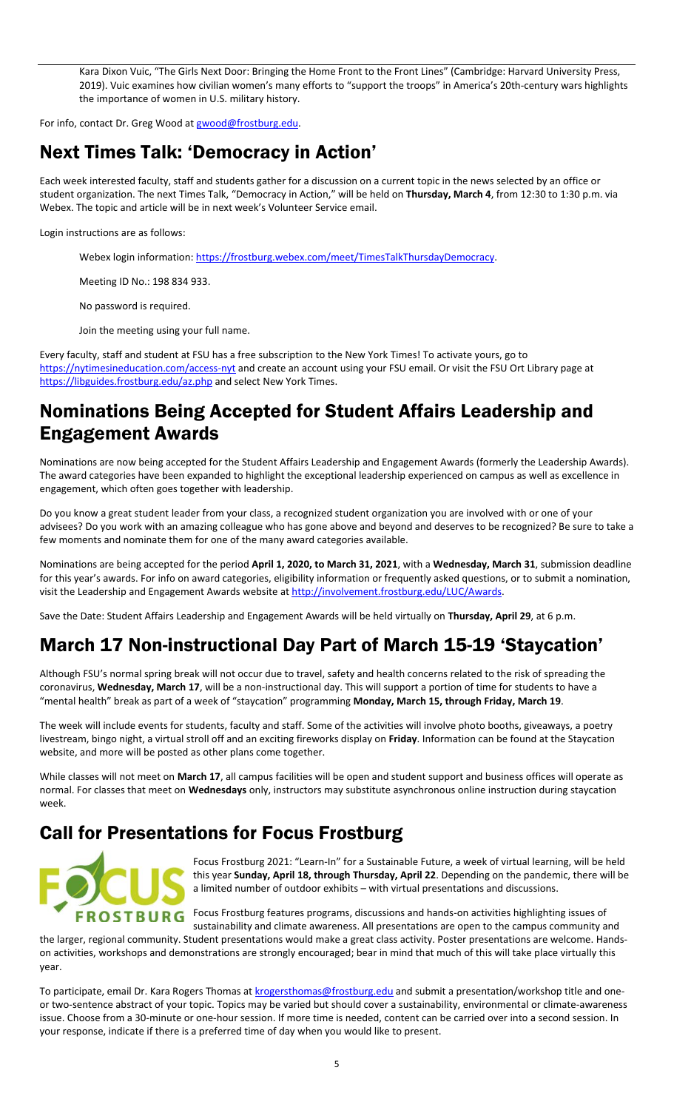Kara Dixon Vuic, "The Girls Next Door: Bringing the Home Front to the Front Lines" (Cambridge: Harvard University Press, 2019). Vuic examines how civilian women's many efforts to "support the troops" in America's 20th-century wars highlights the importance of women in U.S. military history.

For info, contact Dr. Greg Wood a[t gwood@frostburg.edu.](mailto:gwood@frostburg.edu)

# Next Times Talk: 'Democracy in Action'

Each week interested faculty, staff and students gather for a discussion on a current topic in the news selected by an office or student organization. The next Times Talk, "Democracy in Action," will be held on **Thursday, March 4**, from 12:30 to 1:30 p.m. via Webex. The topic and article will be in next week's Volunteer Service email.

Login instructions are as follows:

Webex login information: [https://frostburg.webex.com/meet/TimesTalkThursdayDemocracy.](https://frostburg.webex.com/meet/TimesTalkThursdayDemocracy)

Meeting ID No.: 198 834 933.

No password is required.

Join the meeting using your full name.

Every faculty, staff and student at FSU has a free subscription to the New York Times! To activate yours, go to <https://nytimesineducation.com/access-nyt> and create an account using your FSU email. Or visit the FSU Ort Library page at <https://libguides.frostburg.edu/az.php> and select New York Times.

## Nominations Being Accepted for Student Affairs Leadership and Engagement Awards

Nominations are now being accepted for the Student Affairs Leadership and Engagement Awards (formerly the Leadership Awards). The award categories have been expanded to highlight the exceptional leadership experienced on campus as well as excellence in engagement, which often goes together with leadership.

Do you know a great student leader from your class, a recognized student organization you are involved with or one of your advisees? Do you work with an amazing colleague who has gone above and beyond and deserves to be recognized? Be sure to take a few moments and nominate them for one of the many award categories available.

Nominations are being accepted for the period **April 1, 2020, to March 31, 2021**, with a **Wednesday, March 31**, submission deadline for this year's awards. For info on award categories, eligibility information or frequently asked questions, or to submit a nomination, visit the Leadership and Engagement Awards website at [http://involvement.frostburg.edu/LUC/Awards.](http://involvement.frostburg.edu/LUC/Awards)

Save the Date: Student Affairs Leadership and Engagement Awards will be held virtually on **Thursday, April 29**, at 6 p.m.

# March 17 Non-instructional Day Part of March 15-19 'Staycation'

Although FSU's normal spring break will not occur due to travel, safety and health concerns related to the risk of spreading the coronavirus, **Wednesday, March 17**, will be a non-instructional day. This will support a portion of time for students to have a "mental health" break as part of a week of "staycation" programming **Monday, March 15, through Friday, March 19**.

The week will include events for students, faculty and staff. Some of the activities will involve photo booths, giveaways, a poetry livestream, bingo night, a virtual stroll off and an exciting fireworks display on **Friday**. Information can be found at the Staycation website, and more will be posted as other plans come together.

While classes will not meet on **March 17**, all campus facilities will be open and student support and business offices will operate as normal. For classes that meet on **Wednesdays** only, instructors may substitute asynchronous online instruction during staycation week.

# Call for Presentations for Focus Frostburg



Focus Frostburg 2021: "Learn-In" for a Sustainable Future, a week of virtual learning, will be held this year **Sunday, April 18, through Thursday, April 22**. Depending on the pandemic, there will be a limited number of outdoor exhibits – with virtual presentations and discussions.

FROSTBURG Focus Frostburg features programs, discussions and hands-on activities highlighting issues of sustainability and climate awareness. All presentations are open to the campus community and

the larger, regional community. Student presentations would make a great class activity. Poster presentations are welcome. Handson activities, workshops and demonstrations are strongly encouraged; bear in mind that much of this will take place virtually this year.

To participate, email Dr. Kara Rogers Thomas a[t krogersthomas@frostburg.edu](mailto:krogersthomas@frostburg.edu) and submit a presentation/workshop title and oneor two-sentence abstract of your topic. Topics may be varied but should cover a sustainability, environmental or climate-awareness issue. Choose from a 30-minute or one-hour session. If more time is needed, content can be carried over into a second session. In your response, indicate if there is a preferred time of day when you would like to present.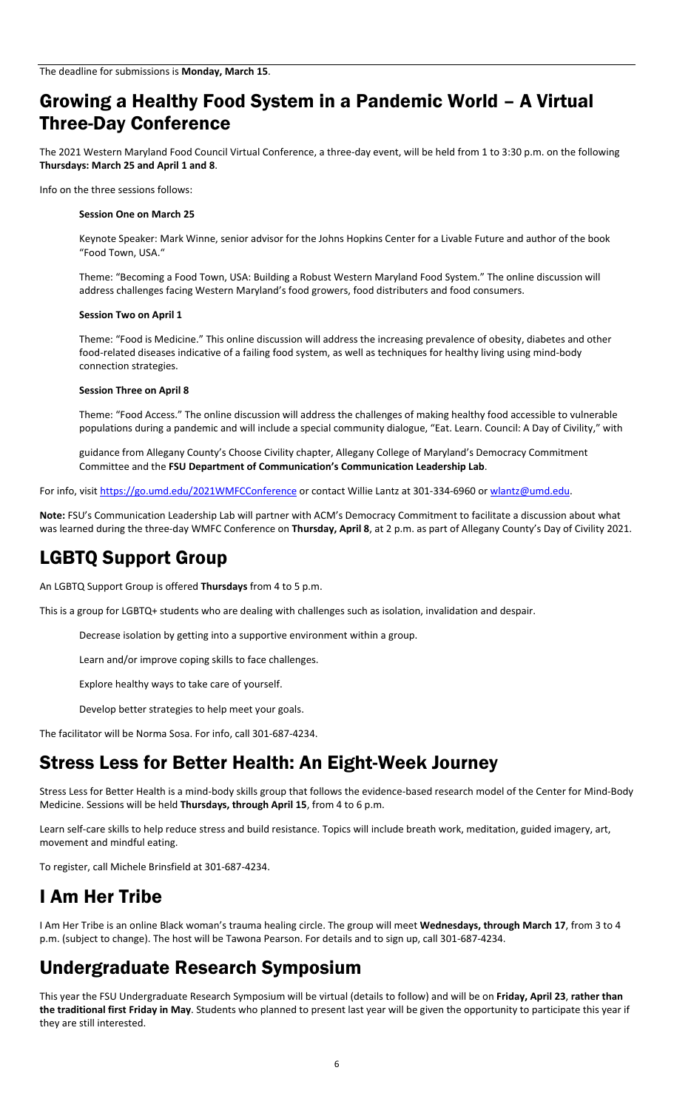## Growing a Healthy Food System in a Pandemic World – A Virtual Three-Day Conference

The 2021 Western Maryland Food Council Virtual Conference, a three-day event, will be held from 1 to 3:30 p.m. on the following **Thursdays: March 25 and April 1 and 8**.

Info on the three sessions follows:

#### **Session One on March 25**

Keynote Speaker: Mark Winne, senior advisor for the Johns Hopkins Center for a Livable Future and author of the book "Food Town, USA."

Theme: "Becoming a Food Town, USA: Building a Robust Western Maryland Food System." The online discussion will address challenges facing Western Maryland's food growers, food distributers and food consumers.

#### **Session Two on April 1**

Theme: "Food is Medicine." This online discussion will address the increasing prevalence of obesity, diabetes and other food-related diseases indicative of a failing food system, as well as techniques for healthy living using mind-body connection strategies.

#### **Session Three on April 8**

Theme: "Food Access." The online discussion will address the challenges of making healthy food accessible to vulnerable populations during a pandemic and will include a special community dialogue, "Eat. Learn. Council: A Day of Civility," with

guidance from Allegany County's Choose Civility chapter, Allegany College of Maryland's Democracy Commitment Committee and the **FSU Department of Communication's Communication Leadership Lab**.

For info, visit<https://go.umd.edu/2021WMFCConference> or contact Willie Lantz at 301-334-6960 o[r wlantz@umd.edu.](mailto:wlantz@umd.edu)

**Note:** FSU's Communication Leadership Lab will partner with ACM's Democracy Commitment to facilitate a discussion about what was learned during the three-day WMFC Conference on **Thursday, April 8**, at 2 p.m. as part of Allegany County's Day of Civility 2021.

### LGBTQ Support Group

An LGBTQ Support Group is offered **Thursdays** from 4 to 5 p.m.

This is a group for LGBTQ+ students who are dealing with challenges such as isolation, invalidation and despair.

Decrease isolation by getting into a supportive environment within a group.

Learn and/or improve coping skills to face challenges.

Explore healthy ways to take care of yourself.

Develop better strategies to help meet your goals.

The facilitator will be Norma Sosa. For info, call 301-687-4234.

### Stress Less for Better Health: An Eight-Week Journey

Stress Less for Better Health is a mind-body skills group that follows the evidence-based research model of the Center for Mind-Body Medicine. Sessions will be held **Thursdays, through April 15**, from 4 to 6 p.m.

Learn self-care skills to help reduce stress and build resistance. Topics will include breath work, meditation, guided imagery, art, movement and mindful eating.

To register, call Michele Brinsfield at 301-687-4234.

# I Am Her Tribe

I Am Her Tribe is an online Black woman's trauma healing circle. The group will meet **Wednesdays, through March 17**, from 3 to 4 p.m. (subject to change). The host will be Tawona Pearson. For details and to sign up, call 301-687-4234.

### Undergraduate Research Symposium

This year the FSU Undergraduate Research Symposium will be virtual (details to follow) and will be on **Friday, April 23**, **rather than the traditional first Friday in May**. Students who planned to present last year will be given the opportunity to participate this year if they are still interested.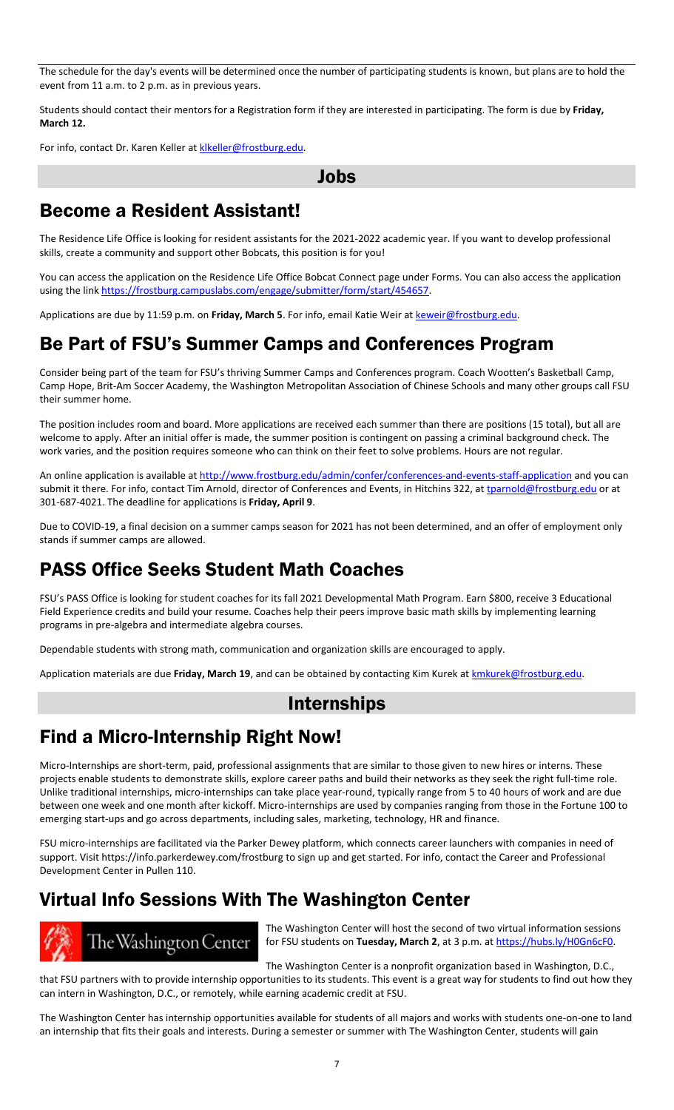The schedule for the day's events will be determined once the number of participating students is known, but plans are to hold the event from 11 a.m. to 2 p.m. as in previous years.

Students should contact their mentors for a Registration form if they are interested in participating. The form is due by **Friday, March 12.**

For info, contact Dr. Karen Keller at klkeller@frostburg.edu.

Jobs

### Become a Resident Assistant!

The Residence Life Office is looking for resident assistants for the 2021-2022 academic year. If you want to develop professional skills, create a community and support other Bobcats, this position is for you!

You can access the application on the Residence Life Office Bobcat Connect page under Forms. You can also access the application using the link [https://frostburg.campuslabs.com/engage/submitter/form/start/454657.](https://frostburg.campuslabs.com/engage/submitter/form/start/454657) 

Applications are due by 11:59 p.m. on **Friday, March 5**. For info, email Katie Weir a[t keweir@frostburg.edu.](mailto:keweir@frostburg.edu)

### Be Part of FSU's Summer Camps and Conferences Program

Consider being part of the team for FSU's thriving Summer Camps and Conferences program. Coach Wootten's Basketball Camp, Camp Hope, Brit-Am Soccer Academy, the Washington Metropolitan Association of Chinese Schools and many other groups call FSU their summer home.

The position includes room and board. More applications are received each summer than there are positions (15 total), but all are welcome to apply. After an initial offer is made, the summer position is contingent on passing a criminal background check. The work varies, and the position requires someone who can think on their feet to solve problems. Hours are not regular.

An online application is available a[t http://www.frostburg.edu/admin/confer/conferences-and-events-staff-application](http://www.frostburg.edu/admin/confer/conferences-and-events-staff-application) and you can submit it there. For info, contact Tim Arnold, director of Conferences and Events, in Hitchins 322, at [tparnold@frostburg.edu](mailto:tparnold@frostburg.edu) or at 301-687-4021. The deadline for applications is **Friday, April 9**.

Due to COVID-19, a final decision on a summer camps season for 2021 has not been determined, and an offer of employment only stands if summer camps are allowed.

### PASS Office Seeks Student Math Coaches

FSU's PASS Office is looking for student coaches for its fall 2021 Developmental Math Program. Earn \$800, receive 3 Educational Field Experience credits and build your resume. Coaches help their peers improve basic math skills by implementing learning programs in pre-algebra and intermediate algebra courses.

Dependable students with strong math, communication and organization skills are encouraged to apply.

Application materials are due **Friday, March 19**, and can be obtained by contacting Kim Kurek a[t kmkurek@frostburg.edu.](mailto:kmkurek@frostburg.edu) 

### Internships

### Find a Micro-Internship Right Now!

Micro-Internships are short-term, paid, professional assignments that are similar to those given to new hires or interns. These projects enable students to demonstrate skills, explore career paths and build their networks as they seek the right full-time role. Unlike traditional internships, micro-internships can take place year-round, typically range from 5 to 40 hours of work and are due between one week and one month after kickoff. Micro-internships are used by companies ranging from those in the Fortune 100 to emerging start-ups and go across departments, including sales, marketing, technology, HR and finance.

FSU micro-internships are facilitated via the Parker Dewey platform, which connects career launchers with companies in need of support. Visi[t https://info.parkerdewey.com/frostburg](https://info.parkerdewey.com/frostburg) to sign up and get started. For info, contact the Career and Professional Development Center in Pullen 110.

# Virtual Info Sessions With The Washington Center



The Washington Center will host the second of two virtual information sessions for FSU students on **Tuesday, March 2**, at 3 p.m. a[t https://hubs.ly/H0Gn6cF0.](https://hubs.ly/H0Gn6cF0)

The Washington Center is a nonprofit organization based in Washington, D.C.,

that FSU partners with to provide internship opportunities to its students. This event is a great way for students to find out how they can intern in Washington, D.C., or remotely, while earning academic credit at FSU.

The Washington Center has internship opportunities available for students of all majors and works with students one-on-one to land an internship that fits their goals and interests. During a semester or summer with The Washington Center, students will gain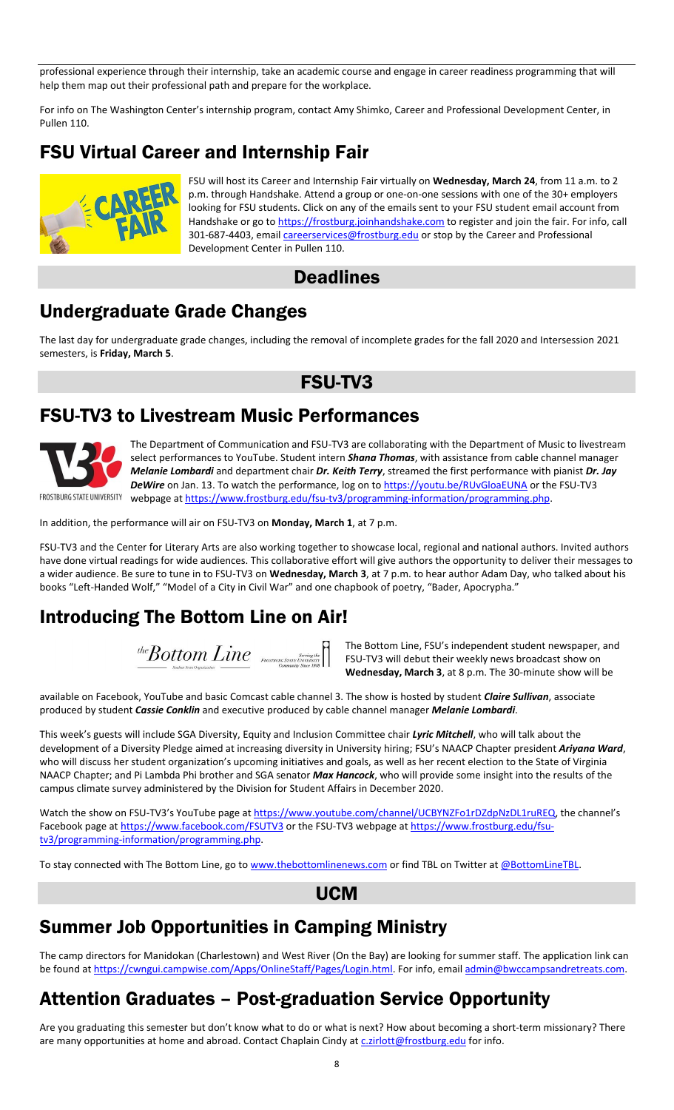professional experience through their internship, take an academic course and engage in career readiness programming that will help them map out their professional path and prepare for the workplace.

For info on The Washington Center's internship program, contact Amy Shimko, Career and Professional Development Center, in Pullen 110.

# FSU Virtual Career and Internship Fair



FSU will host its Career and Internship Fair virtually on **Wednesday, March 24**, from 11 a.m. to 2 p.m. through Handshake. Attend a group or one-on-one sessions with one of the 30+ employers looking for FSU students. Click on any of the emails sent to your FSU student email account from Handshake or go t[o https://frostburg.joinhandshake.com](https://frostburg.joinhandshake.com/) to register and join the fair. For info, call 301-687-4403, email *careerservices@frostburg.edu* or stop by the Career and Professional Development Center in Pullen 110.

### **Deadlines**

### Undergraduate Grade Changes

The last day for undergraduate grade changes, including the removal of incomplete grades for the fall 2020 and Intersession 2021 semesters, is **Friday, March 5**.

### FSU-TV3

### FSU-TV3 to Livestream Music Performances



The Department of Communication and FSU-TV3 are collaborating with the Department of Music to livestream select performances to YouTube. Student intern *Shana Thomas*, with assistance from cable channel manager *Melanie Lombardi* and department chair *Dr. Keith Terry*, streamed the first performance with pianist *Dr. Jay DeWire* on Jan. 13. To watch the performance, log on t[o https://youtu.be/RUvGloaEUNA](https://youtu.be/RUvGloaEUNA) or the FSU-TV3 FROSTBURG STATE UNIVERSITY webpage at https://www.frostburg.edu/fsu-tv3/programming-information/programming.php.

In addition, the performance will air on FSU-TV3 on **Monday, March 1**, at 7 p.m.

FSU-TV3 and the Center for Literary Arts are also working together to showcase local, regional and national authors. Invited authors have done virtual readings for wide audiences. This collaborative effort will give authors the opportunity to deliver their messages to a wider audience. Be sure to tune in to FSU-TV3 on **Wednesday, March 3**, at 7 p.m. to hear author Adam Day, who talked about his books "Left-Handed Wolf," "Model of a City in Civil War" and one chapbook of poetry, "Bader, Apocrypha."

## Introducing The Bottom Line on Air!

 $\textit{theBottom Line} \ \textit{F}_{\textit{P} \textit{nosynance} \textit{S} \textit{S} \textit{S} \textit{C} \textit{S} \textit{C} \textit{D}} \mathsf{F}_{\textit{P} \textit{S} \textit{S} \textit{D} \textit{D}}$ 

The Bottom Line, FSU's independent student newspaper, and FSU-TV3 will debut their weekly news broadcast show on **Wednesday, March 3**, at 8 p.m. The 30-minute show will be

available on Facebook, YouTube and basic Comcast cable channel 3. The show is hosted by student *Claire Sullivan*, associate produced by student *Cassie Conklin* and executive produced by cable channel manager *Melanie Lombardi*.

This week's guests will include SGA Diversity, Equity and Inclusion Committee chair *Lyric Mitchell*, who will talk about the development of a Diversity Pledge aimed at increasing diversity in University hiring; FSU's NAACP Chapter president *Ariyana Ward*, who will discuss her student organization's upcoming initiatives and goals, as well as her recent election to the State of Virginia NAACP Chapter; and Pi Lambda Phi brother and SGA senator *Max Hancock*, who will provide some insight into the results of the campus climate survey administered by the Division for Student Affairs in December 2020.

Watch the show on FSU-TV3's YouTube page at <https://www.youtube.com/channel/UCBYNZFo1rDZdpNzDL1ruREQ>, the channel's Facebook page a[t https://www.facebook.com/FSUTV3](https://www.facebook.com/FSUTV3) or the FSU-TV3 webpage at [https://www.frostburg.edu/fsu](https://www.frostburg.edu/fsu-tv3/programming-information/programming.php)[tv3/programming-information/programming.php.](https://www.frostburg.edu/fsu-tv3/programming-information/programming.php)

To stay connected with The Bottom Line, go t[o www.thebottomlinenews.com](http://www.thebottomlinenews.com/) or find TBL on Twitter at [@BottomLineTBL.](https://twitter.com/search?q=%40BottomLineTBL&src=typed_query)

### UCM

# Summer Job Opportunities in Camping Ministry

The camp directors for Manidokan (Charlestown) and West River (On the Bay) are looking for summer staff. The application link can be found a[t https://cwngui.campwise.com/Apps/OnlineStaff/Pages/Login.html.](https://cwngui.campwise.com/Apps/OnlineStaff/Pages/Login.html) For info, emai[l admin@bwccampsandretreats.com.](mailto:admin@bwccampsandretreats.com) 

# Attention Graduates – Post-graduation Service Opportunity

Are you graduating this semester but don't know what to do or what is next? How about becoming a short-term missionary? There are many opportunities at home and abroad. Contact Chaplain Cindy at [c.zirlott@frostburg.edu](mailto:c.zirlott@frostburg.edu) for info.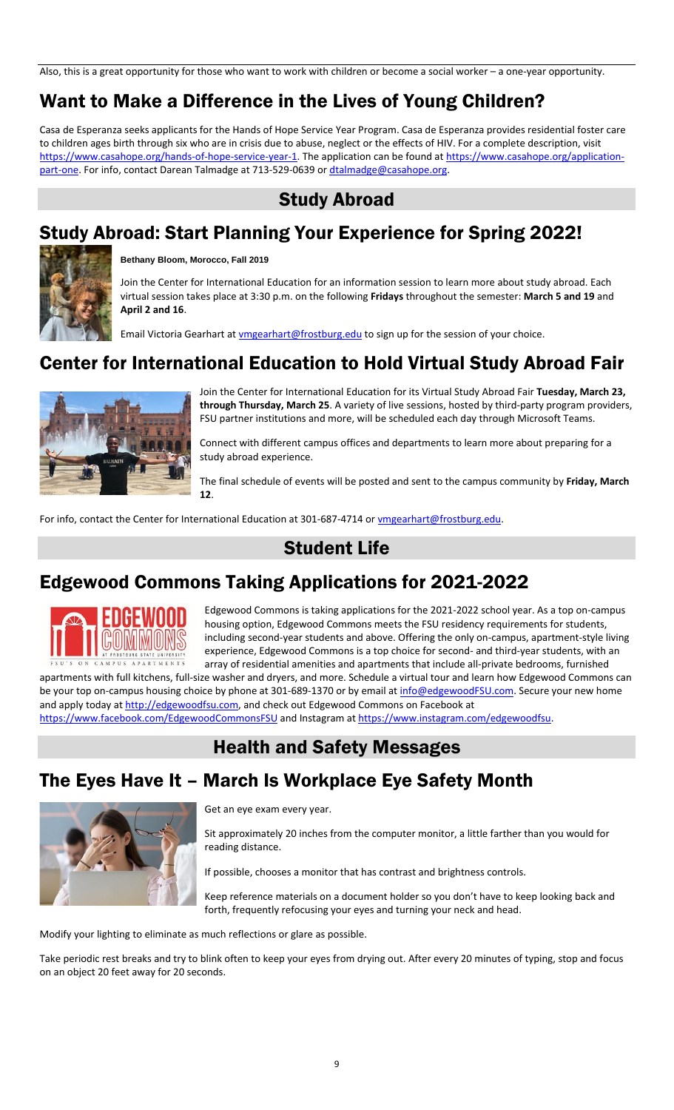Also, this is a great opportunity for those who want to work with children or become a social worker – a one-year opportunity.

# Want to Make a Difference in the Lives of Young Children?

Casa de Esperanza seeks applicants for the Hands of Hope Service Year Program. Casa de Esperanza provides residential foster care to children ages birth through six who are in crisis due to abuse, neglect or the effects of HIV. For a complete description, visit https://www.casahope.org/hands-of-hope-service-year-1</u>. The application can be found at [https://www.casahope.org/application](https://www.casahope.org/application-part-one)[part-one.](https://www.casahope.org/application-part-one) For info, contact Darean Talmadge at 713-529-0639 o[r dtalmadge@casahope.org.](mailto:dtalmadge@casahope.org)

### Study Abroad

# Study Abroad: Start Planning Your Experience for Spring 2022!



### **Bethany Bloom, Morocco, Fall 2019**

Join the Center for International Education for an information session to learn more about study abroad. Each virtual session takes place at 3:30 p.m. on the following **Fridays** throughout the semester: **March 5 and 19** and **April 2 and 16**.

Email Victoria Gearhart at *ymgearhart@frostburg.edu* to sign up for the session of your choice.

### Center for International Education to Hold Virtual Study Abroad Fair



Join the Center for International Education for its Virtual Study Abroad Fair **Tuesday, March 23, through Thursday, March 25**. A variety of live sessions, hosted by third-party program providers, FSU partner institutions and more, will be scheduled each day through Microsoft Teams.

Connect with different campus offices and departments to learn more about preparing for a study abroad experience.

The final schedule of events will be posted and sent to the campus community by **Friday, March 12**.

For info, contact the Center for International Education at 301-687-4714 or [vmgearhart@frostburg.edu.](mailto:vmgearhart@frostburg.edu)

### Student Life

# Edgewood Commons Taking Applications for 2021-2022



Edgewood Commons is taking applications for the 2021-2022 school year. As a top on-campus housing option, Edgewood Commons meets the FSU residency requirements for students, including second-year students and above. Offering the only on-campus, apartment-style living experience, Edgewood Commons is a top choice for second- and third-year students, with an array of residential amenities and apartments that include all-private bedrooms, furnished

apartments with full kitchens, full-size washer and dryers, and more. Schedule a virtual tour and learn how Edgewood Commons can be your top on-campus housing choice by phone at 301-689-1370 or by email a[t info@edgewoodFSU.com.](mailto:info@edgewoodFSU.com) Secure your new home and apply today at [http://edgewoodfsu.com,](http://edgewoodfsu.com/) and check out Edgewood Commons on Facebook at <https://www.facebook.com/EdgewoodCommonsFSU> and Instagram a[t https://www.instagram.com/edgewoodfsu.](https://www.instagram.com/edgewoodfsu)

# Health and Safety Messages

# The Eyes Have It – March Is Workplace Eye Safety Month



Get an eye exam every year.

Sit approximately 20 inches from the computer monitor, a little farther than you would for reading distance.

If possible, chooses a monitor that has contrast and brightness controls.

Keep reference materials on a document holder so you don't have to keep looking back and forth, frequently refocusing your eyes and turning your neck and head.

Modify your lighting to eliminate as much reflections or glare as possible.

Take periodic rest breaks and try to blink often to keep your eyes from drying out. After every 20 minutes of typing, stop and focus on an object 20 feet away for 20 seconds.